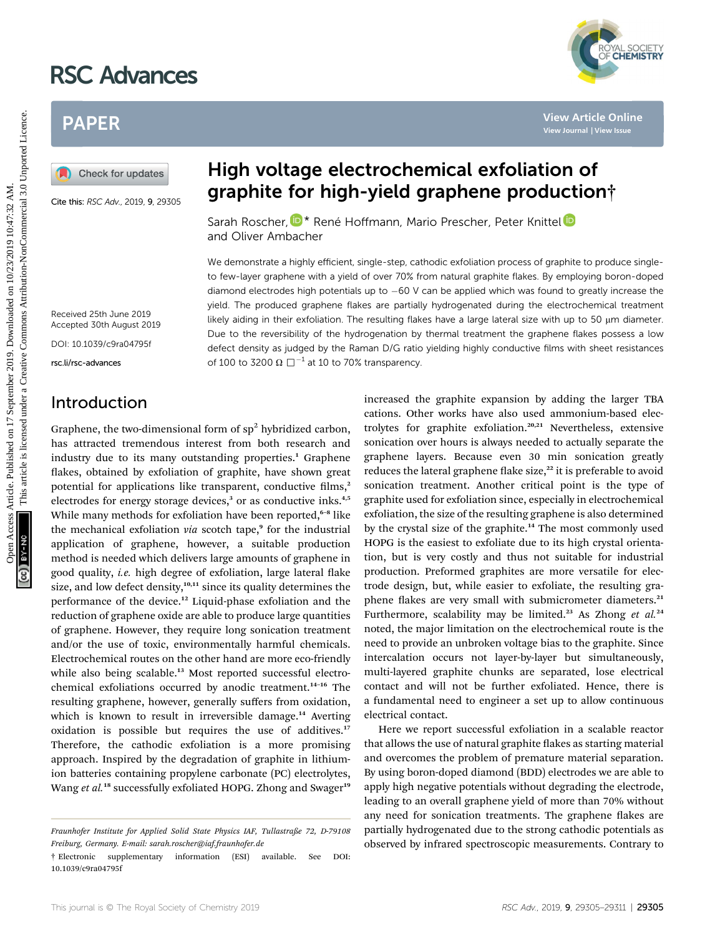# RSC Advances

# PAPER

Cite this: RSC Adv., 2019, 9, 29305

# High voltage electrochemical exfoliation of graphite for high-yield graphene production†

Sarah Roscher[,](http://orcid.org/0000-0002-3106-2162)  $\mathbb{D}^*$  René Hoffmann, Mario Prescher, Peter Knittel and Oliver Ambacher

We demonstrate a highly efficient, single-step, cathodic exfoliation process of graphite to produce singleto few-layer graphene with a yield of over 70% from natural graphite flakes. By employing boron-doped diamond electrodes high potentials up to  $-60$  V can be applied which was found to greatly increase the yield. The produced graphene flakes are partially hydrogenated during the electrochemical treatment likely aiding in their exfoliation. The resulting flakes have a large lateral size with up to 50  $\mu$ m diameter. Due to the reversibility of the hydrogenation by thermal treatment the graphene flakes possess a low defect density as judged by the Raman D/G ratio yielding highly conductive films with sheet resistances of 100 to 3200  $\Omega$   $\square$ <sup>-1</sup> at 10 to 70% transparency.

Received 25th June 2019 Accepted 30th August 2019

DOI: 10.1039/c9ra04795f

rsc.li/rsc-advances

## Introduction

Graphene, the two-dimensional form of  $sp<sup>2</sup>$  hybridized carbon, has attracted tremendous interest from both research and industry due to its many outstanding properties.<sup>1</sup> Graphene flakes, obtained by exfoliation of graphite, have shown great potential for applications like transparent, conductive films, $2$ electrodes for energy storage devices,<sup>3</sup> or as conductive inks.<sup>4,5</sup> While many methods for exfoliation have been reported,<sup>6-8</sup> like the mechanical exfoliation  $via$  scotch tape,<sup>9</sup> for the industrial application of graphene, however, a suitable production method is needed which delivers large amounts of graphene in good quality, *i.e.* high degree of exfoliation, large lateral flake size, and low defect density, $10,111$  since its quality determines the performance of the device.<sup>12</sup> Liquid-phase exfoliation and the reduction of graphene oxide are able to produce large quantities of graphene. However, they require long sonication treatment and/or the use of toxic, environmentally harmful chemicals. Electrochemical routes on the other hand are more eco-friendly while also being scalable.<sup>13</sup> Most reported successful electrochemical exfoliations occurred by anodic treatment.<sup>14</sup>–<sup>16</sup> The resulting graphene, however, generally suffers from oxidation, which is known to result in irreversible damage.<sup>14</sup> Averting oxidation is possible but requires the use of additives.<sup>17</sup> Therefore, the cathodic exfoliation is a more promising approach. Inspired by the degradation of graphite in lithiumion batteries containing propylene carbonate (PC) electrolytes, Wang et al.<sup>18</sup> successfully exfoliated HOPG. Zhong and Swager<sup>19</sup>

increased the graphite expansion by adding the larger TBA cations. Other works have also used ammonium-based electrolytes for graphite exfoliation.<sup>20,21</sup> Nevertheless, extensive sonication over hours is always needed to actually separate the graphene layers. Because even 30 min sonication greatly reduces the lateral graphene flake size, $^{22}$  it is preferable to avoid sonication treatment. Another critical point is the type of graphite used for exfoliation since, especially in electrochemical exfoliation, the size of the resulting graphene is also determined by the crystal size of the graphite.<sup>14</sup> The most commonly used HOPG is the easiest to exfoliate due to its high crystal orientation, but is very costly and thus not suitable for industrial production. Preformed graphites are more versatile for electrode design, but, while easier to exfoliate, the resulting graphene flakes are very small with submicrometer diameters.<sup>21</sup> Furthermore, scalability may be limited.<sup>23</sup> As Zhong et al.<sup>24</sup> noted, the major limitation on the electrochemical route is the need to provide an unbroken voltage bias to the graphite. Since intercalation occurs not layer-by-layer but simultaneously, multi-layered graphite chunks are separated, lose electrical contact and will not be further exfoliated. Hence, there is a fundamental need to engineer a set up to allow continuous electrical contact. **PAPER**<br> **EXERCT THE CONSULTER SET AND ACTION CONTROL CONTROVIDENT (SOMETHER SET AND SERVICE ON THE CONTROVIDENCE SET AND SERVICE ON THE CONTROL CONTROL CONTROL CONTROL CONTROL CONTROL CONTROL CONTROL CONTROL CONTROL CONT** 

> Here we report successful exfoliation in a scalable reactor that allows the use of natural graphite flakes as starting material and overcomes the problem of premature material separation. By using boron-doped diamond (BDD) electrodes we are able to apply high negative potentials without degrading the electrode, leading to an overall graphene yield of more than 70% without any need for sonication treatments. The graphene flakes are partially hydrogenated due to the strong cathodic potentials as observed by infrared spectroscopic measurements. Contrary to



Fraunhofer Institute for Applied Solid State Physics IAF, Tullastraße 72, D-79108 Freiburg, Germany. E-mail: sarah.roscher@iaf.fraunhofer.de

<sup>†</sup> Electronic supplementary information (ESI) available. See DOI: 10.1039/c9ra04795f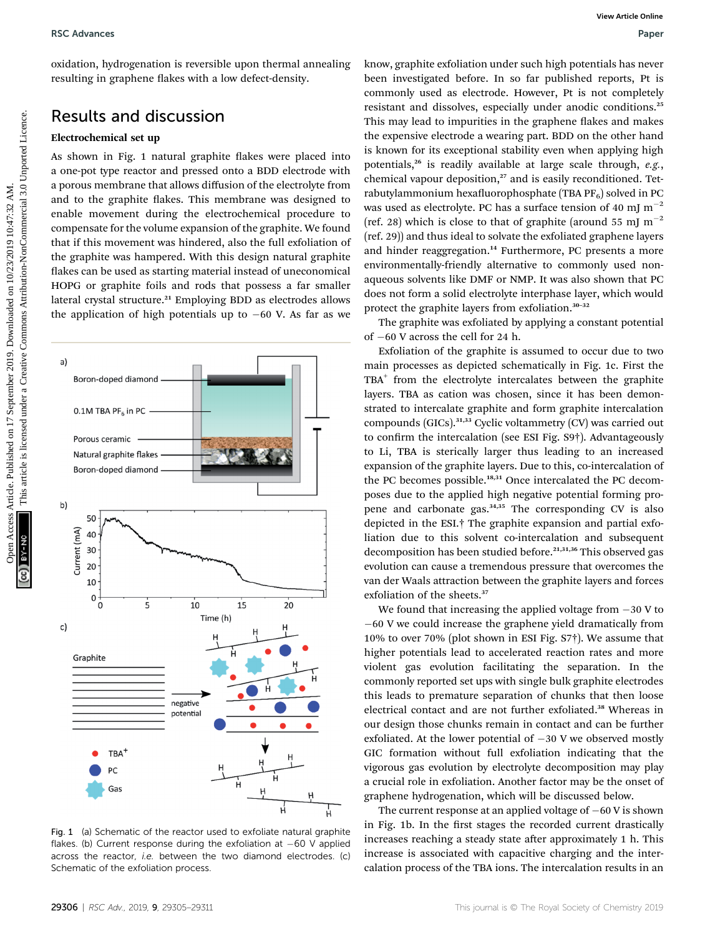oxidation, hydrogenation is reversible upon thermal annealing resulting in graphene flakes with a low defect-density.

### Results and discussion

#### Electrochemical set up

As shown in Fig. 1 natural graphite flakes were placed into a one-pot type reactor and pressed onto a BDD electrode with a porous membrane that allows diffusion of the electrolyte from and to the graphite flakes. This membrane was designed to enable movement during the electrochemical procedure to compensate for the volume expansion of the graphite. We found that if this movement was hindered, also the full exfoliation of the graphite was hampered. With this design natural graphite flakes can be used as starting material instead of uneconomical HOPG or graphite foils and rods that possess a far smaller lateral crystal structure.<sup>21</sup> Employing BDD as electrodes allows the application of high potentials up to  $-60$  V. As far as we

10  $\pmb{0}$  $\dot{o}$  $\overline{5}$  $10$  $15$ 20 Time (h) c) Graphite negative potentia **TBA** Ĥ Gas

Fig. 1 (a) Schematic of the reactor used to exfoliate natural graphite flakes. (b) Current response during the exfoliation at  $-60$  V applied across the reactor, i.e. between the two diamond electrodes. (c) Schematic of the exfoliation process.

know, graphite exfoliation under such high potentials has never been investigated before. In so far published reports, Pt is commonly used as electrode. However, Pt is not completely resistant and dissolves, especially under anodic conditions.<sup>25</sup> This may lead to impurities in the graphene flakes and makes the expensive electrode a wearing part. BDD on the other hand is known for its exceptional stability even when applying high potentials,<sup>26</sup> is readily available at large scale through,  $e.g.,$ chemical vapour deposition,<sup>27</sup> and is easily reconditioned. Tetrabutylammonium hexafluorophosphate (TBA  $PF_6$ ) solved in PC was used as electrolyte. PC has a surface tension of 40 mJ  $m^{-2}$ (ref. 28) which is close to that of graphite (around 55 mJ  $m^{-2}$ (ref. 29)) and thus ideal to solvate the exfoliated graphene layers and hinder reaggregation.<sup>14</sup> Furthermore, PC presents a more environmentally-friendly alternative to commonly used nonaqueous solvents like DMF or NMP. It was also shown that PC does not form a solid electrolyte interphase layer, which would protect the graphite layers from exfoliation.<sup>30</sup>–<sup>32</sup> BSC Advances<br>
Condition, hydrogenation is reversible upon thermal amending horos graphite edicition and relation and properties are the creative of the creative of the commons are the entropy in the commons are the entrop

The graphite was exfoliated by applying a constant potential of  $-60$  V across the cell for 24 h.

Exfoliation of the graphite is assumed to occur due to two main processes as depicted schematically in Fig. 1c. First the  $TBA<sup>+</sup>$  from the electrolyte intercalates between the graphite layers. TBA as cation was chosen, since it has been demonstrated to intercalate graphite and form graphite intercalation compounds (GICs).<sup>31,33</sup> Cyclic voltammetry (CV) was carried out to confirm the intercalation (see ESI Fig. S9†). Advantageously to Li, TBA is sterically larger thus leading to an increased expansion of the graphite layers. Due to this, co-intercalation of the PC becomes possible.<sup>18,31</sup> Once intercalated the PC decomposes due to the applied high negative potential forming propene and carbonate gas.<sup>34,35</sup> The corresponding CV is also depicted in the ESI.† The graphite expansion and partial exfoliation due to this solvent co-intercalation and subsequent decomposition has been studied before.<sup>21,31,36</sup> This observed gas evolution can cause a tremendous pressure that overcomes the van der Waals attraction between the graphite layers and forces exfoliation of the sheets.<sup>37</sup>

We found that increasing the applied voltage from  $-30$  V to 60 V we could increase the graphene yield dramatically from 10% to over 70% (plot shown in ESI Fig. S7†). We assume that higher potentials lead to accelerated reaction rates and more violent gas evolution facilitating the separation. In the commonly reported set ups with single bulk graphite electrodes this leads to premature separation of chunks that then loose electrical contact and are not further exfoliated.<sup>38</sup> Whereas in our design those chunks remain in contact and can be further exfoliated. At the lower potential of  $-30$  V we observed mostly GIC formation without full exfoliation indicating that the vigorous gas evolution by electrolyte decomposition may play a crucial role in exfoliation. Another factor may be the onset of graphene hydrogenation, which will be discussed below.

The current response at an applied voltage of  $-60$  V is shown in Fig. 1b. In the first stages the recorded current drastically increases reaching a steady state after approximately 1 h. This increase is associated with capacitive charging and the intercalation process of the TBA ions. The intercalation results in an

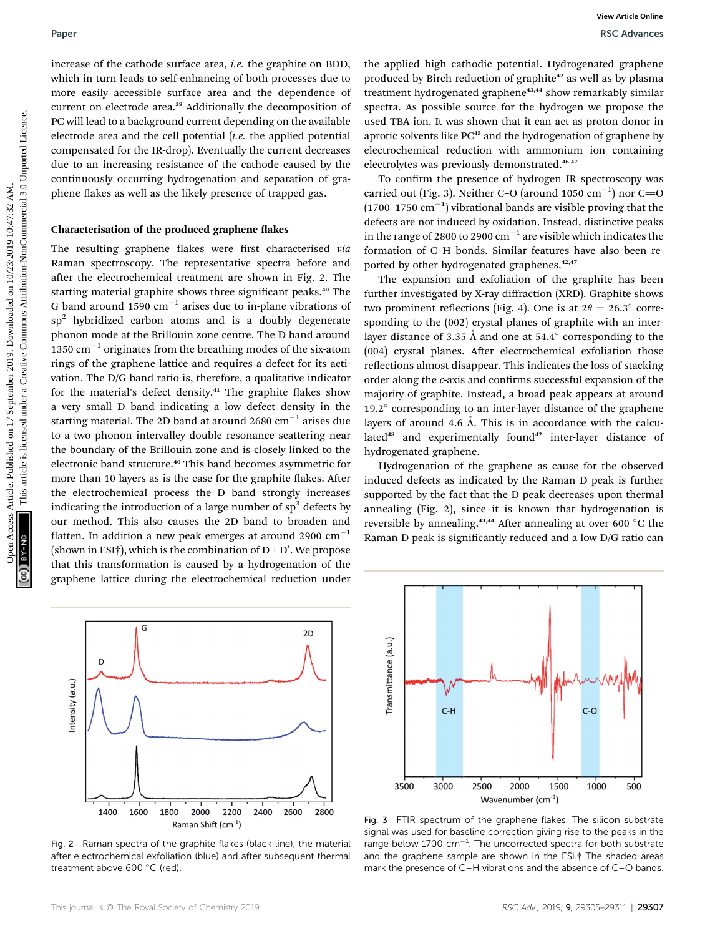increase of the cathode surface area, i.e. the graphite on BDD, which in turn leads to self-enhancing of both processes due to more easily accessible surface area and the dependence of current on electrode area.<sup>39</sup> Additionally the decomposition of PC will lead to a background current depending on the available electrode area and the cell potential  $(i.e.$  the applied potential compensated for the IR-drop). Eventually the current decreases due to an increasing resistance of the cathode caused by the continuously occurring hydrogenation and separation of graphene flakes as well as the likely presence of trapped gas.

#### Characterisation of the produced graphene flakes

The resulting graphene flakes were first characterised via Raman spectroscopy. The representative spectra before and after the electrochemical treatment are shown in Fig. 2. The starting material graphite shows three significant peaks.<sup>40</sup> The G band around 1590  $cm^{-1}$  arises due to in-plane vibrations of  $sp<sup>2</sup>$  hybridized carbon atoms and is a doubly degenerate phonon mode at the Brillouin zone centre. The D band around 1350  $\text{cm}^{-1}$  originates from the breathing modes of the six-atom rings of the graphene lattice and requires a defect for its activation. The D/G band ratio is, therefore, a qualitative indicator for the material's defect density. $41$  The graphite flakes show a very small D band indicating a low defect density in the starting material. The 2D band at around 2680  $cm^{-1}$  arises due to a two phonon intervalley double resonance scattering near the boundary of the Brillouin zone and is closely linked to the electronic band structure.<sup>40</sup> This band becomes asymmetric for more than 10 layers as is the case for the graphite flakes. After the electrochemical process the D band strongly increases indicating the introduction of a large number of  $sp<sup>3</sup>$  defects by our method. This also causes the 2D band to broaden and flatten. In addition a new peak emerges at around 2900  $cm^{-1}$ (shown in ESI†), which is the combination of D + D′. We propose that this transformation is caused by a hydrogenation of the graphene lattice during the electrochemical reduction under Paper Work interests of the culture article. (a: downloade on 100). The space of interests are not interest are not interest are not interest are not interest are not interest are not interest are not interest are not int



Fig. 2 Raman spectra of the graphite flakes (black line), the material after electrochemical exfoliation (blue) and after subsequent thermal treatment above 600 °C (red).

the applied high cathodic potential. Hydrogenated graphene produced by Birch reduction of graphite<sup>42</sup> as well as by plasma treatment hydrogenated graphene<sup>43,44</sup> show remarkably similar spectra. As possible source for the hydrogen we propose the used TBA ion. It was shown that it can act as proton donor in aprotic solvents like PC<sup>45</sup> and the hydrogenation of graphene by electrochemical reduction with ammonium ion containing electrolytes was previously demonstrated.<sup>46,47</sup>

To confirm the presence of hydrogen IR spectroscopy was carried out (Fig. 3). Neither C-O (around 1050  $\text{cm}^{-1}$ ) nor C=O  $(1700-1750 \text{ cm}^{-1})$  vibrational bands are visible proving that the defects are not induced by oxidation. Instead, distinctive peaks in the range of 2800 to 2900  $cm^{-1}$  are visible which indicates the formation of C–H bonds. Similar features have also been reported by other hydrogenated graphenes.<sup>42,47</sup>

The expansion and exfoliation of the graphite has been further investigated by X-ray diffraction (XRD). Graphite shows two prominent reflections (Fig. 4). One is at  $2\theta = 26.3^{\circ}$  corresponding to the (002) crystal planes of graphite with an interlayer distance of 3.35 Å and one at  $54.4^\circ$  corresponding to the  $(004)$  crystal planes. After electrochemical exfoliation those reflections almost disappear. This indicates the loss of stacking order along the c-axis and confirms successful expansion of the majority of graphite. Instead, a broad peak appears at around 19.2° corresponding to an inter-layer distance of the graphene layers of around 4.6  $\AA$ . This is in accordance with the calculated<sup>48</sup> and experimentally found<sup>42</sup> inter-layer distance of hydrogenated graphene.

Hydrogenation of the graphene as cause for the observed induced defects as indicated by the Raman D peak is further supported by the fact that the D peak decreases upon thermal annealing (Fig. 2), since it is known that hydrogenation is reversible by annealing.<sup>43,44</sup> After annealing at over 600  $^{\circ}$ C the Raman D peak is significantly reduced and a low D/G ratio can



Fig. 3 FTIR spectrum of the graphene flakes. The silicon substrate signal was used for baseline correction giving rise to the peaks in the range below  $1700 \text{ cm}^{-1}$ . The uncorrected spectra for both substrate and the graphene sample are shown in the ESI.† The shaded areas mark the presence of C–H vibrations and the absence of C–O bands.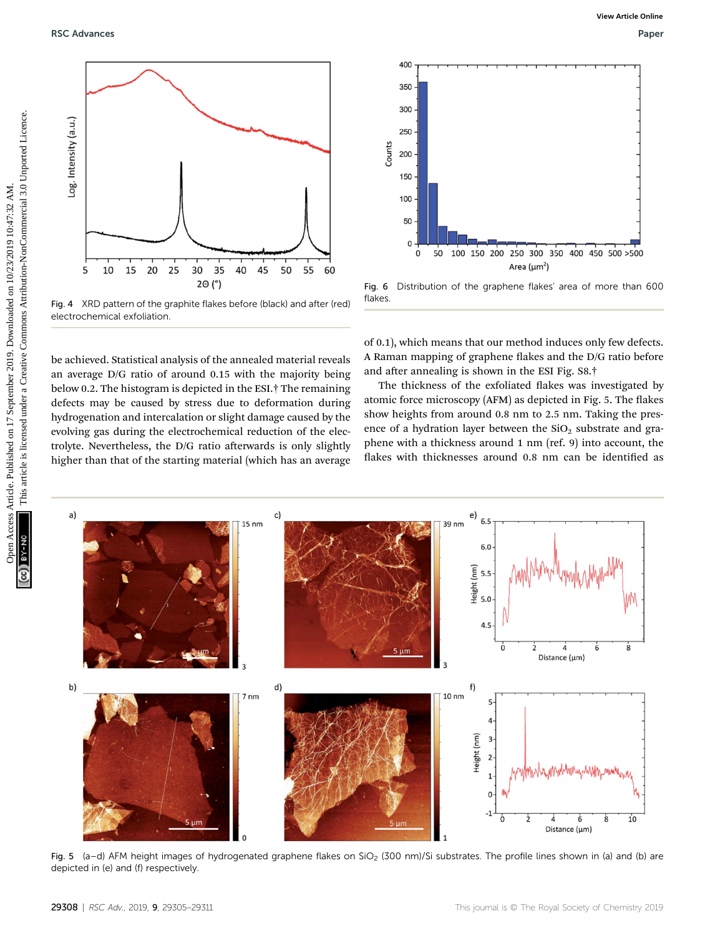be achieved. Statistical analysis of the annealed material reveals an average D/G ratio of around 0.15 with the majority being below 0.2. The histogram is depicted in the ESI.† The remaining defects may be caused by stress due to deformation during hydrogenation and intercalation or slight damage caused by the evolving gas during the electrochemical reduction of the electrolyte. Nevertheless, the  $D/G$  ratio afterwards is only slightly higher than that of the starting material (which has an average

of 0.1), which means that our method induces only few defects. A Raman mapping of graphene flakes and the D/G ratio before and after annealing is shown in the ESI Fig. S8.<sup>†</sup>

Fig. 6 Distribution of the graphene flakes' area of more than 600

The thickness of the exfoliated flakes was investigated by atomic force microscopy (AFM) as depicted in Fig. 5. The flakes show heights from around 0.8 nm to 2.5 nm. Taking the presence of a hydration layer between the  $SiO<sub>2</sub>$  substrate and graphene with a thickness around 1 nm (ref. 9) into account, the flakes with thicknesses around 0.8 nm can be identified as

> Height (nm)  $5.5$

 $f)$ 

 $10 \text{ nm}$ 

 $5.0$ 

 $4.5$ 

ò

 $\dot{2}$ 

 $\dot{4}$ 

Distance (µm)

Ġ



 $d)$ 

7<sub>nm</sub>

flakes.

 $b)$ 



Fig. 4 XRD pattern of the graphite flakes before (black) and after (red) electrochemical exfoliation.

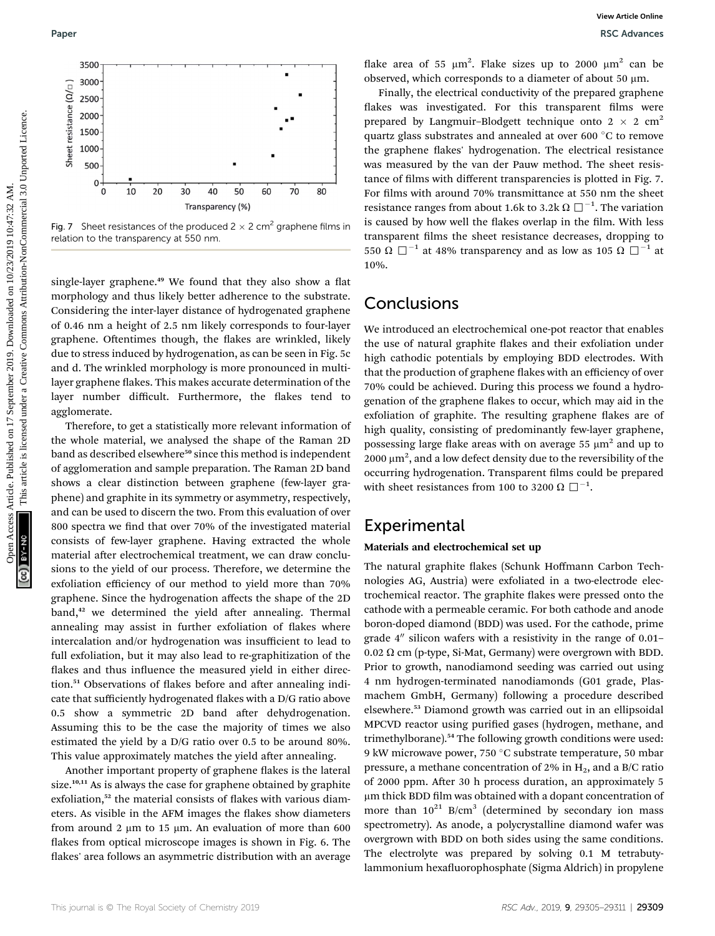

Fig. 7 Sheet resistances of the produced  $2 \times 2$  cm<sup>2</sup> graphene films in relation to the transparency at 550 nm.

single-layer graphene. $49$  We found that they also show a flat morphology and thus likely better adherence to the substrate. Considering the inter-layer distance of hydrogenated graphene of 0.46 nm a height of 2.5 nm likely corresponds to four-layer graphene. Oftentimes though, the flakes are wrinkled, likely due to stress induced by hydrogenation, as can be seen in Fig. 5c and d. The wrinkled morphology is more pronounced in multilayer graphene flakes. This makes accurate determination of the layer number difficult. Furthermore, the flakes tend to agglomerate.

Therefore, to get a statistically more relevant information of the whole material, we analysed the shape of the Raman 2D band as described elsewhere<sup>50</sup> since this method is independent of agglomeration and sample preparation. The Raman 2D band shows a clear distinction between graphene (few-layer graphene) and graphite in its symmetry or asymmetry, respectively, and can be used to discern the two. From this evaluation of over 800 spectra we find that over 70% of the investigated material consists of few-layer graphene. Having extracted the whole material after electrochemical treatment, we can draw conclusions to the yield of our process. Therefore, we determine the exfoliation efficiency of our method to yield more than 70% graphene. Since the hydrogenation affects the shape of the 2D band,<sup>42</sup> we determined the yield after annealing. Thermal annealing may assist in further exfoliation of flakes where intercalation and/or hydrogenation was insufficient to lead to full exfoliation, but it may also lead to re-graphitization of the flakes and thus influence the measured yield in either direction.<sup>51</sup> Observations of flakes before and after annealing indicate that sufficiently hydrogenated flakes with a D/G ratio above 0.5 show a symmetric 2D band after dehydrogenation. Assuming this to be the case the majority of times we also estimated the yield by a D/G ratio over 0.5 to be around 80%. This value approximately matches the yield after annealing.

Another important property of graphene flakes is the lateral size.<sup>10,11</sup> As is always the case for graphene obtained by graphite exfoliation, $52$  the material consists of flakes with various diameters. As visible in the AFM images the flakes show diameters from around 2  $\mu$ m to 15  $\mu$ m. An evaluation of more than 600 flakes from optical microscope images is shown in Fig. 6. The flakes' area follows an asymmetric distribution with an average

flake area of 55  $\mu$ m<sup>2</sup>. Flake sizes up to 2000  $\mu$ m<sup>2</sup> can be observed, which corresponds to a diameter of about 50  $\mu$ m.

Finally, the electrical conductivity of the prepared graphene flakes was investigated. For this transparent films were prepared by Langmuir–Blodgett technique onto  $2 \times 2$  cm<sup>2</sup> quartz glass substrates and annealed at over 600 $\degree$ C to remove the graphene flakes' hydrogenation. The electrical resistance was measured by the van der Pauw method. The sheet resistance of films with different transparencies is plotted in Fig. 7. For films with around 70% transmittance at 550 nm the sheet resistance ranges from about 1.6k to 3.2k  $\Omega\ \Box^{-1}$ . The variation is caused by how well the flakes overlap in the film. With less transparent films the sheet resistance decreases, dropping to 550  $\Omega$   $\square$ <sup>-1</sup> at 48% transparency and as low as 105  $\Omega$   $\square$ <sup>-1</sup> at 10%. Paper Records Controller and the state of 17 september 2019. The composite is like the created of the composite in the component intervention of the case of the commons are commons are commons are commons are commons are

## **Conclusions**

We introduced an electrochemical one-pot reactor that enables the use of natural graphite flakes and their exfoliation under high cathodic potentials by employing BDD electrodes. With that the production of graphene flakes with an efficiency of over 70% could be achieved. During this process we found a hydrogenation of the graphene flakes to occur, which may aid in the exfoliation of graphite. The resulting graphene flakes are of high quality, consisting of predominantly few-layer graphene, possessing large flake areas with on average 55  $\mu$ m<sup>2</sup> and up to 2000  $\mu$ m<sup>2</sup>, and a low defect density due to the reversibility of the occurring hydrogenation. Transparent films could be prepared with sheet resistances from 100 to 3200  $\Omega$   $\square$   $^{-1}.$ 

## Experimental

#### Materials and electrochemical set up

The natural graphite flakes (Schunk Hoffmann Carbon Technologies AG, Austria) were exfoliated in a two-electrode electrochemical reactor. The graphite flakes were pressed onto the cathode with a permeable ceramic. For both cathode and anode boron-doped diamond (BDD) was used. For the cathode, prime grade  $4''$  silicon wafers with a resistivity in the range of 0.01–  $0.02$   $\Omega$  cm (p-type, Si-Mat, Germany) were overgrown with BDD. Prior to growth, nanodiamond seeding was carried out using 4 nm hydrogen-terminated nanodiamonds (G01 grade, Plasmachem GmbH, Germany) following a procedure described elsewhere.<sup>53</sup> Diamond growth was carried out in an ellipsoidal MPCVD reactor using purified gases (hydrogen, methane, and trimethylborane).<sup>54</sup> The following growth conditions were used: 9 kW microwave power, 750  $\degree$ C substrate temperature, 50 mbar pressure, a methane concentration of 2% in  $H_2$ , and a B/C ratio of 2000 ppm. After 30 h process duration, an approximately 5 µm thick BDD film was obtained with a dopant concentration of more than  $10^{21}$  B/cm<sup>3</sup> (determined by secondary ion mass spectrometry). As anode, a polycrystalline diamond wafer was overgrown with BDD on both sides using the same conditions. The electrolyte was prepared by solving 0.1 M tetrabutylammonium hexafluorophosphate (Sigma Aldrich) in propylene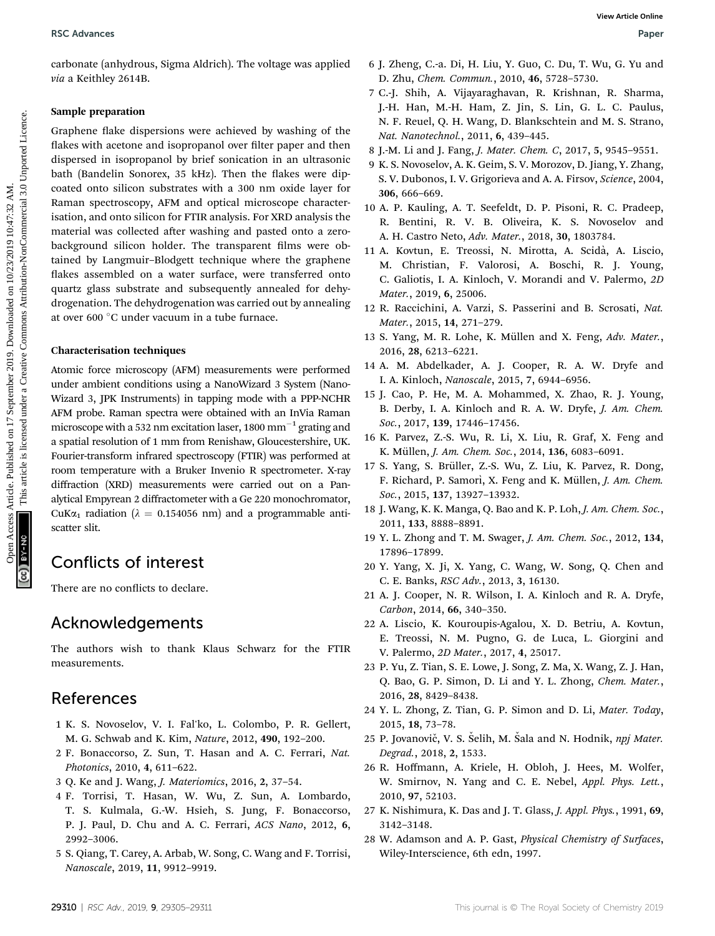carbonate (anhydrous, Sigma Aldrich). The voltage was applied via a Keithley 2614B.

#### Sample preparation

Graphene flake dispersions were achieved by washing of the flakes with acetone and isopropanol over filter paper and then dispersed in isopropanol by brief sonication in an ultrasonic bath (Bandelin Sonorex, 35 kHz). Then the flakes were dipcoated onto silicon substrates with a 300 nm oxide layer for Raman spectroscopy, AFM and optical microscope characterisation, and onto silicon for FTIR analysis. For XRD analysis the material was collected after washing and pasted onto a zerobackground silicon holder. The transparent films were obtained by Langmuir–Blodgett technique where the graphene flakes assembled on a water surface, were transferred onto quartz glass substrate and subsequently annealed for dehydrogenation. The dehydrogenation was carried out by annealing at over 600 °C under vacuum in a tube furnace. BSC Advances<br>
Subsection Sigma Addrids), the voltage was applied  $\frac{6}{5}$  Lemachigan Creative Commons, 2019. C. Du U, Vu, C. Yu and<br>
the Real Real Real Reportents were achieved by washing of the  $\frac{1}{12}$  R. This articl

#### Characterisation techniques

Atomic force microscopy (AFM) measurements were performed under ambient conditions using a NanoWizard 3 System (Nano-Wizard 3, JPK Instruments) in tapping mode with a PPP-NCHR AFM probe. Raman spectra were obtained with an InVia Raman microscope with a 532 nm excitation laser, 1800 mm<sup> $-1$ </sup> grating and a spatial resolution of 1 mm from Renishaw, Gloucestershire, UK. Fourier-transform infrared spectroscopy (FTIR) was performed at room temperature with a Bruker Invenio R spectrometer. X-ray diffraction (XRD) measurements were carried out on a Panalytical Empyrean 2 diffractometer with a Ge 220 monochromator, CuK $\alpha_1$  radiation ( $\lambda = 0.154056$  nm) and a programmable antiscatter slit.

# Conflicts of interest

There are no conflicts to declare.

# Acknowledgements

The authors wish to thank Klaus Schwarz for the FTIR measurements.

# References

- 1 K. S. Novoselov, V. I. Fal'ko, L. Colombo, P. R. Gellert, M. G. Schwab and K. Kim, Nature, 2012, 490, 192–200.
- 2 F. Bonaccorso, Z. Sun, T. Hasan and A. C. Ferrari, Nat. Photonics, 2010, 4, 611–622.
- 3 Q. Ke and J. Wang, J. Materiomics, 2016, 2, 37–54.
- 4 F. Torrisi, T. Hasan, W. Wu, Z. Sun, A. Lombardo, T. S. Kulmala, G.-W. Hsieh, S. Jung, F. Bonaccorso, P. J. Paul, D. Chu and A. C. Ferrari, ACS Nano, 2012, 6, 2992–3006.
- 5 S. Qiang, T. Carey, A. Arbab, W. Song, C. Wang and F. Torrisi, Nanoscale, 2019, 11, 9912–9919.
- 6 J. Zheng, C.-a. Di, H. Liu, Y. Guo, C. Du, T. Wu, G. Yu and D. Zhu, Chem. Commun., 2010, 46, 5728–5730.
- 7 C.-J. Shih, A. Vijayaraghavan, R. Krishnan, R. Sharma, J.-H. Han, M.-H. Ham, Z. Jin, S. Lin, G. L. C. Paulus, N. F. Reuel, Q. H. Wang, D. Blankschtein and M. S. Strano, Nat. Nanotechnol., 2011, 6, 439–445.
- 8 J.-M. Li and J. Fang, J. Mater. Chem. C, 2017, 5, 9545–9551.
- 9 K. S. Novoselov, A. K. Geim, S. V. Morozov, D. Jiang, Y. Zhang, S. V. Dubonos, I. V. Grigorieva and A. A. Firsov, Science, 2004, 306, 666–669.
- 10 A. P. Kauling, A. T. Seefeldt, D. P. Pisoni, R. C. Pradeep, R. Bentini, R. V. B. Oliveira, K. S. Novoselov and A. H. Castro Neto, Adv. Mater., 2018, 30, 1803784.
- 11 A. Kovtun, E. Treossi, N. Mirotta, A. Scidà, A. Liscio, M. Christian, F. Valorosi, A. Boschi, R. J. Young, C. Galiotis, I. A. Kinloch, V. Morandi and V. Palermo, 2D Mater., 2019, 6, 25006.
- 12 R. Raccichini, A. Varzi, S. Passerini and B. Scrosati, Nat. Mater., 2015, 14, 271–279.
- 13 S. Yang, M. R. Lohe, K. Müllen and X. Feng, Adv. Mater., 2016, 28, 6213–6221.
- 14 A. M. Abdelkader, A. J. Cooper, R. A. W. Dryfe and I. A. Kinloch, Nanoscale, 2015, 7, 6944–6956.
- 15 J. Cao, P. He, M. A. Mohammed, X. Zhao, R. J. Young, B. Derby, I. A. Kinloch and R. A. W. Dryfe, J. Am. Chem. Soc., 2017, 139, 17446–17456.
- 16 K. Parvez, Z.-S. Wu, R. Li, X. Liu, R. Graf, X. Feng and K. Müllen, *J. Am. Chem. Soc.*, 2014, 136, 6083-6091.
- 17 S. Yang, S. Brüller, Z.-S. Wu, Z. Liu, K. Parvez, R. Dong, F. Richard, P. Samorì, X. Feng and K. Müllen, J. Am. Chem. Soc., 2015, 137, 13927–13932.
- 18 J. Wang, K. K. Manga, Q. Bao and K. P. Loh, J. Am. Chem. Soc., 2011, 133, 8888–8891.
- 19 Y. L. Zhong and T. M. Swager, J. Am. Chem. Soc., 2012, 134, 17896–17899.
- 20 Y. Yang, X. Ji, X. Yang, C. Wang, W. Song, Q. Chen and C. E. Banks, RSC Adv., 2013, 3, 16130.
- 21 A. J. Cooper, N. R. Wilson, I. A. Kinloch and R. A. Dryfe, Carbon, 2014, 66, 340–350.
- 22 A. Liscio, K. Kouroupis-Agalou, X. D. Betriu, A. Kovtun, E. Treossi, N. M. Pugno, G. de Luca, L. Giorgini and V. Palermo, 2D Mater., 2017, 4, 25017.
- 23 P. Yu, Z. Tian, S. E. Lowe, J. Song, Z. Ma, X. Wang, Z. J. Han, Q. Bao, G. P. Simon, D. Li and Y. L. Zhong, Chem. Mater., 2016, 28, 8429–8438.
- 24 Y. L. Zhong, Z. Tian, G. P. Simon and D. Li, Mater. Today, 2015, 18, 73–78.
- 25 P. Jovanovič, V. S. Selih, M. Sala and N. Hodnik, npj Mater. Degrad., 2018, 2, 1533.
- 26 R. Hoffmann, A. Kriele, H. Obloh, J. Hees, M. Wolfer, W. Smirnov, N. Yang and C. E. Nebel, Appl. Phys. Lett., 2010, 97, 52103.
- 27 K. Nishimura, K. Das and J. T. Glass, J. Appl. Phys., 1991, 69, 3142–3148.
- 28 W. Adamson and A. P. Gast, Physical Chemistry of Surfaces, Wiley-Interscience, 6th edn, 1997.